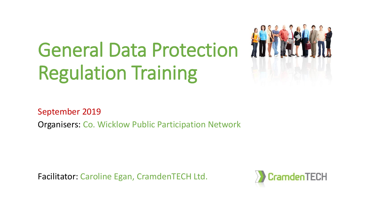# General Data Protection 100 Regulation Training



September 2019

Organisers: Co. Wicklow Public Participation Network

Facilitator: Caroline Egan, CramdenTECH Ltd.

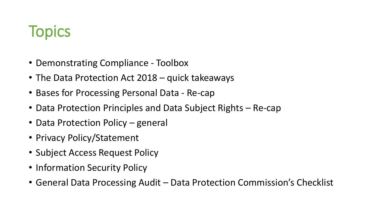### **Topics**

- Demonstrating Compliance Toolbox
- The Data Protection Act 2018 quick takeaways
- Bases for Processing Personal Data Re-cap
- Data Protection Principles and Data Subject Rights Re-cap
- Data Protection Policy general
- Privacy Policy/Statement
- Subject Access Request Policy
- Information Security Policy
- General Data Processing Audit Data Protection Commission's Checklist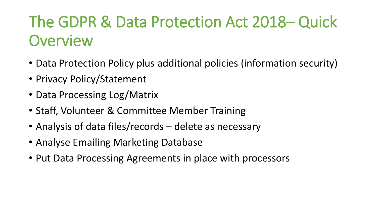# The GDPR & Data Protection Act 2018– Quick **Overview**

- Data Protection Policy plus additional policies (information security)
- Privacy Policy/Statement
- Data Processing Log/Matrix
- Staff, Volunteer & Committee Member Training
- Analysis of data files/records delete as necessary
- Analyse Emailing Marketing Database
- Put Data Processing Agreements in place with processors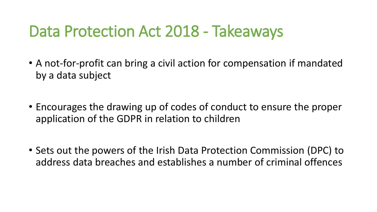#### Data Protection Act 2018 - Takeaways

- A not-for-profit can bring a civil action for compensation if mandated by a data subject
- Encourages the drawing up of codes of conduct to ensure the proper application of the GDPR in relation to children
- Sets out the powers of the Irish Data Protection Commission (DPC) to address data breaches and establishes a number of criminal offences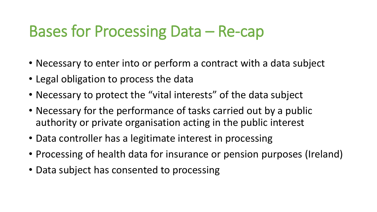#### Bases for Processing Data – Re-cap

- Necessary to enter into or perform a contract with a data subject
- Legal obligation to process the data
- Necessary to protect the "vital interests" of the data subject
- Necessary for the performance of tasks carried out by a public authority or private organisation acting in the public interest
- Data controller has a legitimate interest in processing
- Processing of health data for insurance or pension purposes (Ireland)
- Data subject has consented to processing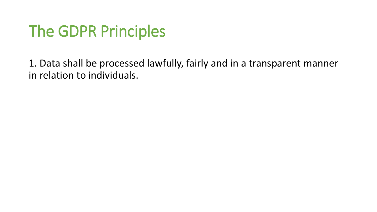1. Data shall be processed lawfully, fairly and in a transparent manner in relation to individuals.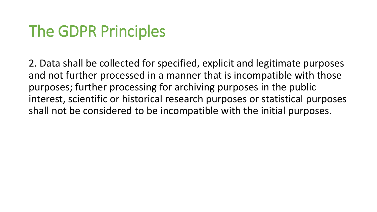2. Data shall be collected for specified, explicit and legitimate purposes and not further processed in a manner that is incompatible with those purposes; further processing for archiving purposes in the public interest, scientific or historical research purposes or statistical purposes shall not be considered to be incompatible with the initial purposes.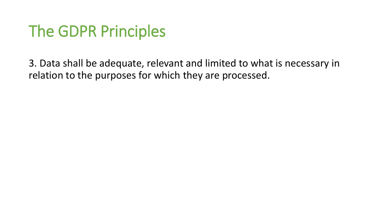3. Data shall be adequate, relevant and limited to what is necessary in relation to the purposes for which they are processed.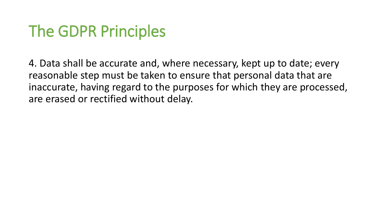4. Data shall be accurate and, where necessary, kept up to date; every reasonable step must be taken to ensure that personal data that are inaccurate, having regard to the purposes for which they are processed, are erased or rectified without delay.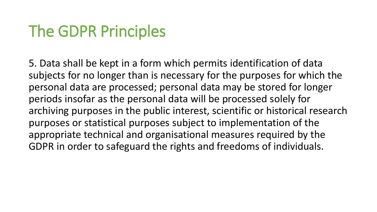5. Data shall be kept in a form which permits identification of data subjects for no longer than is necessary for the purposes for which the personal data are processed; personal data may be stored for longer periods insofar as the personal data will be processed solely for archiving purposes in the public interest, scientific or historical research purposes or statistical purposes subject to implementation of the appropriate technical and organisational measures required by the GDPR in order to safeguard the rights and freedoms of individuals.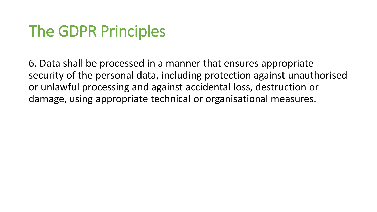6. Data shall be processed in a manner that ensures appropriate security of the personal data, including protection against unauthorised or unlawful processing and against accidental loss, destruction or damage, using appropriate technical or organisational measures.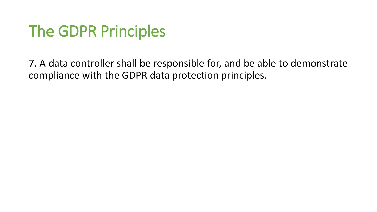7. A data controller shall be responsible for, and be able to demonstrate compliance with the GDPR data protection principles.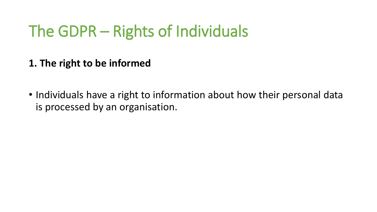**1. The right to be informed**

• Individuals have a right to information about how their personal data is processed by an organisation.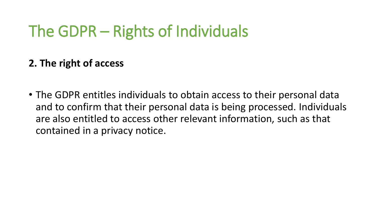#### **2. The right of access**

• The GDPR entitles individuals to obtain access to their personal data and to confirm that their personal data is being processed. Individuals are also entitled to access other relevant information, such as that contained in a privacy notice.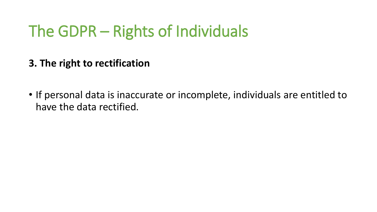- **3. The right to rectification**
- If personal data is inaccurate or incomplete, individuals are entitled to have the data rectified.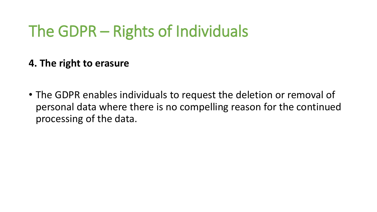**4. The right to erasure**

• The GDPR enables individuals to request the deletion or removal of personal data where there is no compelling reason for the continued processing of the data.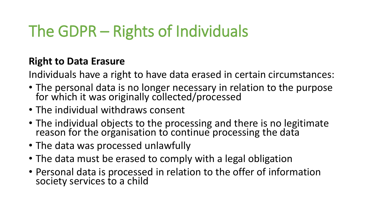#### **Right to Data Erasure**

Individuals have a right to have data erased in certain circumstances:

- The personal data is no longer necessary in relation to the purpose for which it was originally collected/processed
- The individual withdraws consent
- The individual objects to the processing and there is no legitimate reason for the organisation to continue processing the data
- The data was processed unlawfully
- The data must be erased to comply with a legal obligation
- Personal data is processed in relation to the offer of information society services to a child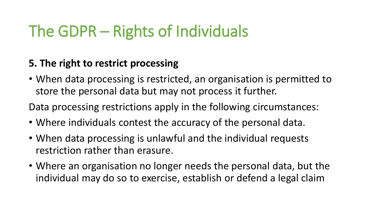#### **5. The right to restrict processing**

• When data processing is restricted, an organisation is permitted to store the personal data but may not process it further.

Data processing restrictions apply in the following circumstances:

- Where individuals contest the accuracy of the personal data.
- When data processing is unlawful and the individual requests restriction rather than erasure.
- Where an organisation no longer needs the personal data, but the individual may do so to exercise, establish or defend a legal claim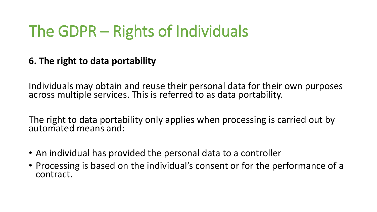#### **6. The right to data portability**

Individuals may obtain and reuse their personal data for their own purposes across multiple services. This is referred to as data portability.

The right to data portability only applies when processing is carried out by automated means and:

- An individual has provided the personal data to a controller
- Processing is based on the individual's consent or for the performance of a contract.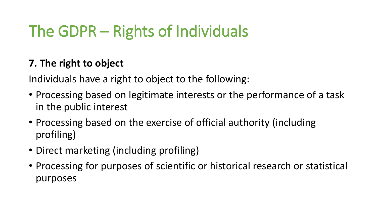#### **7. The right to object**

Individuals have a right to object to the following:

- Processing based on legitimate interests or the performance of a task in the public interest
- Processing based on the exercise of official authority (including profiling)
- Direct marketing (including profiling)
- Processing for purposes of scientific or historical research or statistical purposes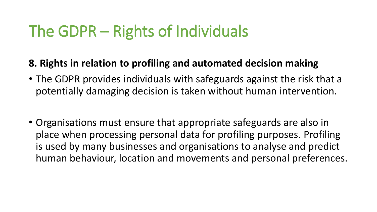#### **8. Rights in relation to profiling and automated decision making**

- The GDPR provides individuals with safeguards against the risk that a potentially damaging decision is taken without human intervention.
- Organisations must ensure that appropriate safeguards are also in place when processing personal data for profiling purposes. Profiling is used by many businesses and organisations to analyse and predict human behaviour, location and movements and personal preferences.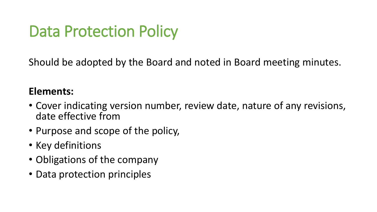## Data Protection Policy

Should be adopted by the Board and noted in Board meeting minutes.

#### **Elements:**

- Cover indicating version number, review date, nature of any revisions, date effective from
- Purpose and scope of the policy,
- Key definitions
- Obligations of the company
- Data protection principles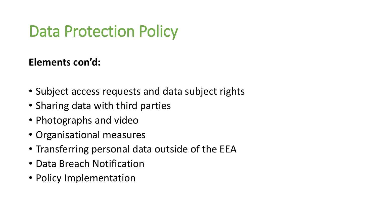### Data Protection Policy

#### **Elements con'd:**

- Subject access requests and data subject rights
- Sharing data with third parties
- Photographs and video
- Organisational measures
- Transferring personal data outside of the EEA
- Data Breach Notification
- Policy Implementation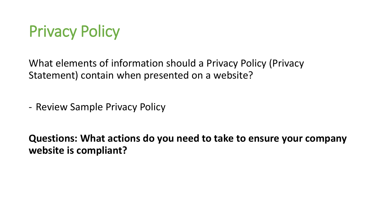

What elements of information should a Privacy Policy (Privacy Statement) contain when presented on a website?

- Review Sample Privacy Policy

**Questions: What actions do you need to take to ensure your company website is compliant?**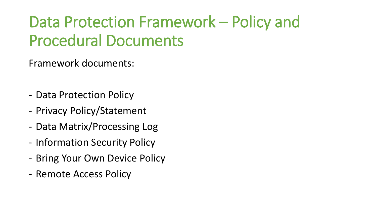Framework documents:

- Data Protection Policy
- Privacy Policy/Statement
- Data Matrix/Processing Log
- Information Security Policy
- Bring Your Own Device Policy
- Remote Access Policy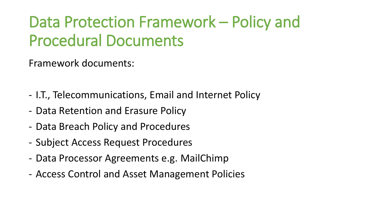Framework documents:

- I.T., Telecommunications, Email and Internet Policy
- Data Retention and Erasure Policy
- Data Breach Policy and Procedures
- Subject Access Request Procedures
- Data Processor Agreements e.g. MailChimp
- Access Control and Asset Management Policies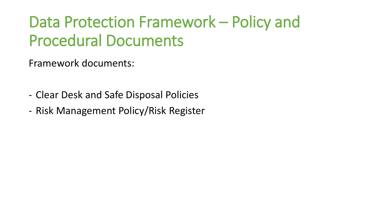Framework documents:

- Clear Desk and Safe Disposal Policies
- Risk Management Policy/Risk Register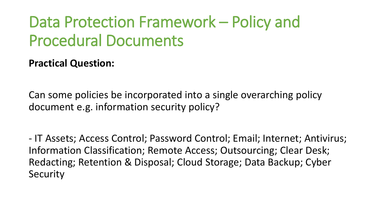**Practical Question:** 

Can some policies be incorporated into a single overarching policy document e.g. information security policy?

- IT Assets; Access Control; Password Control; Email; Internet; Antivirus; Information Classification; Remote Access; Outsourcing; Clear Desk; Redacting; Retention & Disposal; Cloud Storage; Data Backup; Cyber Security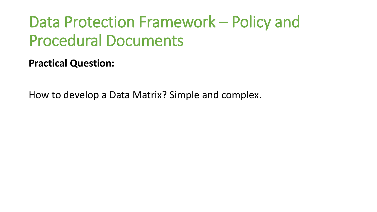**Practical Question:** 

How to develop a Data Matrix? Simple and complex.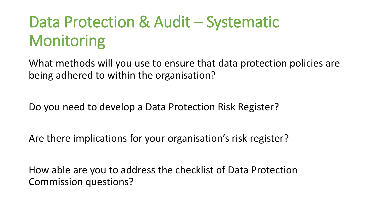What methods will you use to ensure that data protection policies are being adhered to within the organisation?

Do you need to develop a Data Protection Risk Register?

Are there implications for your organisation's risk register?

How able are you to address the checklist of Data Protection Commission questions?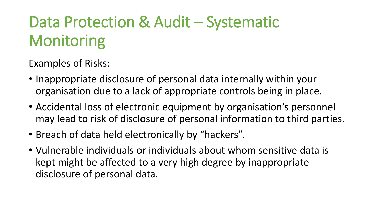- Inappropriate disclosure of personal data internally within your organisation due to a lack of appropriate controls being in place.
- Accidental loss of electronic equipment by organisation's personnel may lead to risk of disclosure of personal information to third parties.
- Breach of data held electronically by "hackers".
- Vulnerable individuals or individuals about whom sensitive data is kept might be affected to a very high degree by inappropriate disclosure of personal data.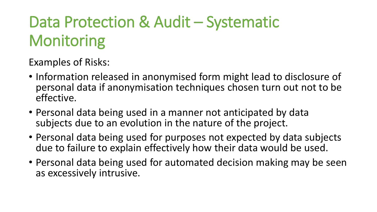- Information released in anonymised form might lead to disclosure of personal data if anonymisation techniques chosen turn out not to be effective.
- Personal data being used in a manner not anticipated by data subjects due to an evolution in the nature of the project.
- Personal data being used for purposes not expected by data subjects due to failure to explain effectively how their data would be used.
- Personal data being used for automated decision making may be seen as excessively intrusive.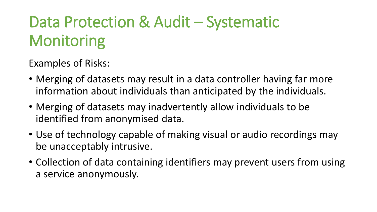- Merging of datasets may result in a data controller having far more information about individuals than anticipated by the individuals.
- Merging of datasets may inadvertently allow individuals to be identified from anonymised data.
- Use of technology capable of making visual or audio recordings may be unacceptably intrusive.
- Collection of data containing identifiers may prevent users from using a service anonymously.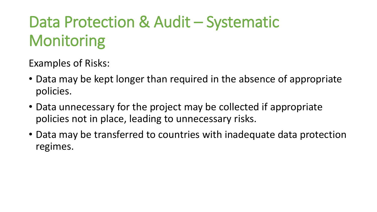- Data may be kept longer than required in the absence of appropriate policies.
- Data unnecessary for the project may be collected if appropriate policies not in place, leading to unnecessary risks.
- Data may be transferred to countries with inadequate data protection regimes.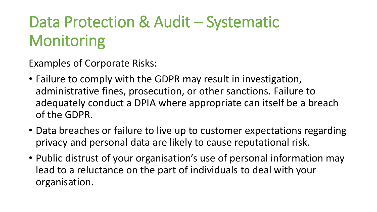Examples of Corporate Risks:

- Failure to comply with the GDPR may result in investigation, administrative fines, prosecution, or other sanctions. Failure to adequately conduct a DPIA where appropriate can itself be a breach of the GDPR.
- Data breaches or failure to live up to customer expectations regarding privacy and personal data are likely to cause reputational risk.
- Public distrust of your organisation's use of personal information may lead to a reluctance on the part of individuals to deal with your organisation.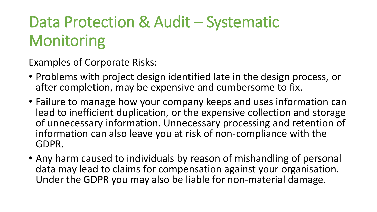Examples of Corporate Risks:

- Problems with project design identified late in the design process, or after completion, may be expensive and cumbersome to fix.
- Failure to manage how your company keeps and uses information can lead to inefficient duplication, or the expensive collection and storage of unnecessary information. Unnecessary processing and retention of information can also leave you at risk of non-compliance with the GDPR.
- Any harm caused to individuals by reason of mishandling of personal data may lead to claims for compensation against your organisation. Under the GDPR you may also be liable for non-material damage.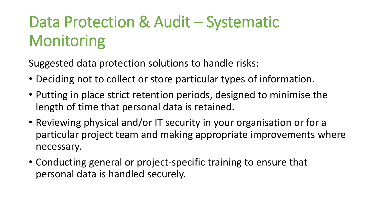Suggested data protection solutions to handle risks:

- Deciding not to collect or store particular types of information.
- Putting in place strict retention periods, designed to minimise the length of time that personal data is retained.
- Reviewing physical and/or IT security in your organisation or for a particular project team and making appropriate improvements where necessary.
- Conducting general or project-specific training to ensure that personal data is handled securely.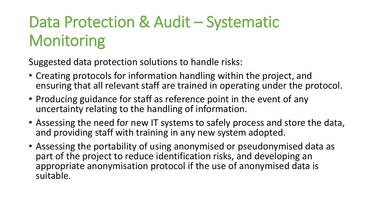Suggested data protection solutions to handle risks:

- Creating protocols for information handling within the project, and ensuring that all relevant staff are trained in operating under the protocol.
- Producing guidance for staff as reference point in the event of any uncertainty relating to the handling of information.
- Assessing the need for new IT systems to safely process and store the data, and providing staff with training in any new system adopted.
- Assessing the portability of using anonymised or pseudonymised data as part of the project to reduce identification risks, and developing an appropriate anonymisation protocol if the use of anonymised data is suitable.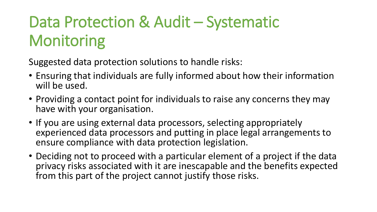Suggested data protection solutions to handle risks:

- Ensuring that individuals are fully informed about how their information will be used.
- Providing a contact point for individuals to raise any concerns they may have with your organisation.
- If you are using external data processors, selecting appropriately experienced data processors and putting in place legal arrangements to ensure compliance with data protection legislation.
- Deciding not to proceed with a particular element of a project if the data privacy risks associated with it are inescapable and the benefits expected from this part of the project cannot justify those risks.